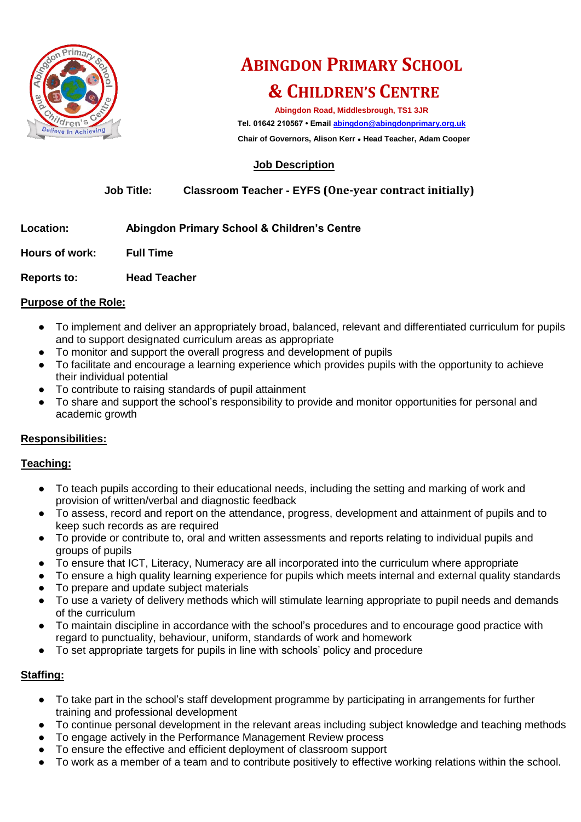

# **ABINGDON PRIMARY SCHOOL & CHILDREN'S CENTRE**

**Abingdon Road, Middlesbrough, TS1 3JR Tel. 01642 210567 • Emai[l abingdon@abingdonprimary.org.uk](mailto:abingdon@abingdonprimary.org.uk)**

 **Chair of Governors, Alison Kerr ● Head Teacher, Adam Cooper**

# **Job Description**

# **Job Title: Classroom Teacher - EYFS (One-year contract initially)**

# **Location: Abingdon Primary School & Children's Centre**

**Hours of work: Full Time** 

**Reports to: Head Teacher**

#### **Purpose of the Role:**

- To implement and deliver an appropriately broad, balanced, relevant and differentiated curriculum for pupils and to support designated curriculum areas as appropriate
- To monitor and support the overall progress and development of pupils
- To facilitate and encourage a learning experience which provides pupils with the opportunity to achieve their individual potential
- To contribute to raising standards of pupil attainment
- To share and support the school's responsibility to provide and monitor opportunities for personal and academic growth

# **Responsibilities:**

#### **Teaching:**

- To teach pupils according to their educational needs, including the setting and marking of work and provision of written/verbal and diagnostic feedback
- To assess, record and report on the attendance, progress, development and attainment of pupils and to keep such records as are required
- To provide or contribute to, oral and written assessments and reports relating to individual pupils and groups of pupils
- To ensure that ICT, Literacy, Numeracy are all incorporated into the curriculum where appropriate
- To ensure a high quality learning experience for pupils which meets internal and external quality standards ● To prepare and update subject materials
- To use a variety of delivery methods which will stimulate learning appropriate to pupil needs and demands of the curriculum
- To maintain discipline in accordance with the school's procedures and to encourage good practice with regard to punctuality, behaviour, uniform, standards of work and homework
- To set appropriate targets for pupils in line with schools' policy and procedure

# **Staffing:**

- To take part in the school's staff development programme by participating in arrangements for further training and professional development
- To continue personal development in the relevant areas including subject knowledge and teaching methods
- To engage actively in the Performance Management Review process
- To ensure the effective and efficient deployment of classroom support
- To work as a member of a team and to contribute positively to effective working relations within the school.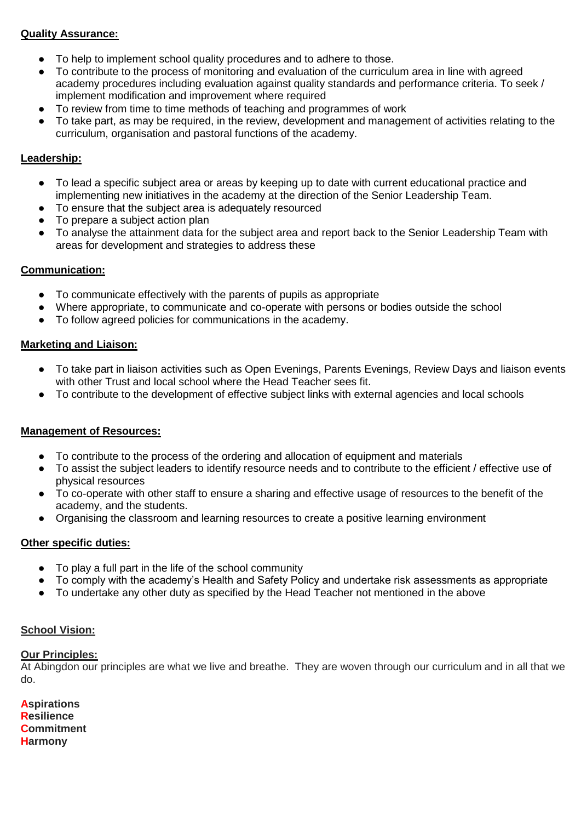#### **Quality Assurance:**

- To help to implement school quality procedures and to adhere to those.
- To contribute to the process of monitoring and evaluation of the curriculum area in line with agreed academy procedures including evaluation against quality standards and performance criteria. To seek / implement modification and improvement where required
- To review from time to time methods of teaching and programmes of work
- To take part, as may be required, in the review, development and management of activities relating to the curriculum, organisation and pastoral functions of the academy.

# **Leadership:**

- To lead a specific subject area or areas by keeping up to date with current educational practice and implementing new initiatives in the academy at the direction of the Senior Leadership Team.
- To ensure that the subject area is adequately resourced
- To prepare a subject action plan
- To analyse the attainment data for the subject area and report back to the Senior Leadership Team with areas for development and strategies to address these

#### **Communication:**

- To communicate effectively with the parents of pupils as appropriate
- Where appropriate, to communicate and co-operate with persons or bodies outside the school
- To follow agreed policies for communications in the academy.

#### **Marketing and Liaison:**

- To take part in liaison activities such as Open Evenings, Parents Evenings, Review Days and liaison events with other Trust and local school where the Head Teacher sees fit.
- To contribute to the development of effective subject links with external agencies and local schools

# **Management of Resources:**

- To contribute to the process of the ordering and allocation of equipment and materials
- To assist the subject leaders to identify resource needs and to contribute to the efficient / effective use of physical resources
- To co-operate with other staff to ensure a sharing and effective usage of resources to the benefit of the academy, and the students.
- Organising the classroom and learning resources to create a positive learning environment

# **Other specific duties:**

- To play a full part in the life of the school community
- To comply with the academy's Health and Safety Policy and undertake risk assessments as appropriate
- To undertake any other duty as specified by the Head Teacher not mentioned in the above

#### **School Vision:**

#### **Our Principles:**

At Abingdon our principles are what we live and breathe. They are woven through our curriculum and in all that we do.

**Aspirations Resilience Commitment Harmony**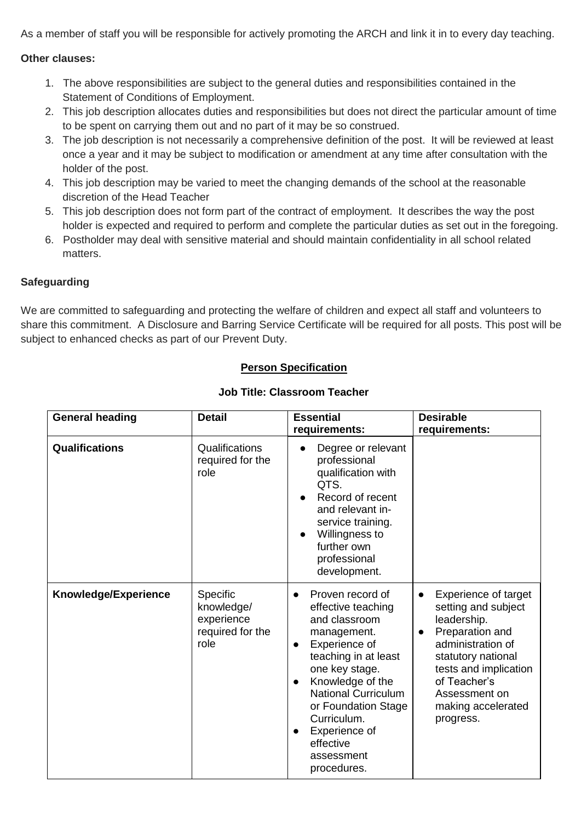As a member of staff you will be responsible for actively promoting the ARCH and link it in to every day teaching.

#### **Other clauses:**

- 1. The above responsibilities are subject to the general duties and responsibilities contained in the Statement of Conditions of Employment.
- 2. This job description allocates duties and responsibilities but does not direct the particular amount of time to be spent on carrying them out and no part of it may be so construed.
- 3. The job description is not necessarily a comprehensive definition of the post. It will be reviewed at least once a year and it may be subject to modification or amendment at any time after consultation with the holder of the post.
- 4. This job description may be varied to meet the changing demands of the school at the reasonable discretion of the Head Teacher
- 5. This job description does not form part of the contract of employment. It describes the way the post holder is expected and required to perform and complete the particular duties as set out in the foregoing.
- 6. Postholder may deal with sensitive material and should maintain confidentiality in all school related matters.

#### **Safeguarding**

We are committed to safeguarding and protecting the welfare of children and expect all staff and volunteers to share this commitment. A Disclosure and Barring Service Certificate will be required for all posts. This post will be subject to enhanced checks as part of our Prevent Duty.

# **Person Specification**

| <b>General heading</b> | <b>Detail</b>                                                    | <b>Essential</b><br>requirements:                                                                                                                                                                                                                                                                                                 | <b>Desirable</b><br>requirements:                                                                                                                                                                                                               |
|------------------------|------------------------------------------------------------------|-----------------------------------------------------------------------------------------------------------------------------------------------------------------------------------------------------------------------------------------------------------------------------------------------------------------------------------|-------------------------------------------------------------------------------------------------------------------------------------------------------------------------------------------------------------------------------------------------|
| Qualifications         | Qualifications<br>required for the<br>role                       | Degree or relevant<br>professional<br>qualification with<br>QTS.<br>Record of recent<br>and relevant in-<br>service training.<br>Willingness to<br>$\bullet$<br>further own<br>professional<br>development.                                                                                                                       |                                                                                                                                                                                                                                                 |
| Knowledge/Experience   | Specific<br>knowledge/<br>experience<br>required for the<br>role | Proven record of<br>$\bullet$<br>effective teaching<br>and classroom<br>management.<br>Experience of<br>$\bullet$<br>teaching in at least<br>one key stage.<br>Knowledge of the<br>$\bullet$<br>National Curriculum<br>or Foundation Stage<br>Curriculum.<br>Experience of<br>$\bullet$<br>effective<br>assessment<br>procedures. | Experience of target<br>$\bullet$<br>setting and subject<br>leadership.<br>Preparation and<br>$\bullet$<br>administration of<br>statutory national<br>tests and implication<br>of Teacher's<br>Assessment on<br>making accelerated<br>progress. |

#### **Job Title: Classroom Teacher**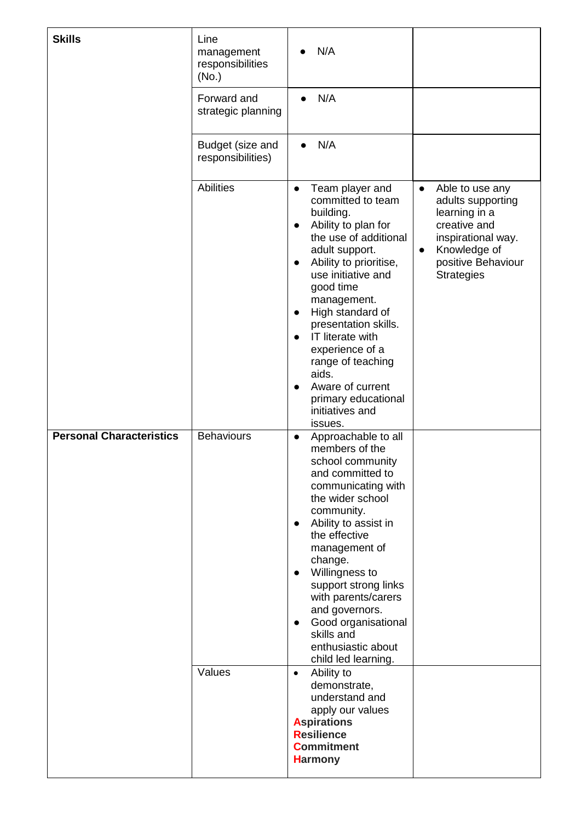| <b>Skills</b>                   | Line<br>management<br>responsibilities<br>(No.)<br>Forward and<br>strategic planning<br>Budget (size and<br>responsibilities) | N/A<br>N/A<br>$\bullet$<br>N/A<br>$\bullet$                                                                                                                                                                                                                                                                                                                                                                                                                |                                                                                                                                                                                  |
|---------------------------------|-------------------------------------------------------------------------------------------------------------------------------|------------------------------------------------------------------------------------------------------------------------------------------------------------------------------------------------------------------------------------------------------------------------------------------------------------------------------------------------------------------------------------------------------------------------------------------------------------|----------------------------------------------------------------------------------------------------------------------------------------------------------------------------------|
|                                 | <b>Abilities</b>                                                                                                              | Team player and<br>$\bullet$<br>committed to team<br>building.<br>Ability to plan for<br>$\bullet$<br>the use of additional<br>adult support.<br>Ability to prioritise,<br>$\bullet$<br>use initiative and<br>good time<br>management.<br>High standard of<br>$\bullet$<br>presentation skills.<br>IT literate with<br>experience of a<br>range of teaching<br>aids.<br>Aware of current<br>$\bullet$<br>primary educational<br>initiatives and<br>issues. | Able to use any<br>$\bullet$<br>adults supporting<br>learning in a<br>creative and<br>inspirational way.<br>Knowledge of<br>$\bullet$<br>positive Behaviour<br><b>Strategies</b> |
| <b>Personal Characteristics</b> | <b>Behaviours</b><br>Values                                                                                                   | Approachable to all<br>$\bullet$<br>members of the<br>school community<br>and committed to<br>communicating with<br>the wider school<br>community.<br>Ability to assist in<br>$\bullet$<br>the effective<br>management of<br>change.<br>Willingness to<br>$\bullet$<br>support strong links<br>with parents/carers<br>and governors.<br>Good organisational<br>$\bullet$<br>skills and<br>enthusiastic about<br>child led learning.                        |                                                                                                                                                                                  |
|                                 |                                                                                                                               | Ability to<br>$\bullet$<br>demonstrate,<br>understand and<br>apply our values<br><b>Aspirations</b><br><b>Resilience</b><br><b>Commitment</b><br><b>Harmony</b>                                                                                                                                                                                                                                                                                            |                                                                                                                                                                                  |